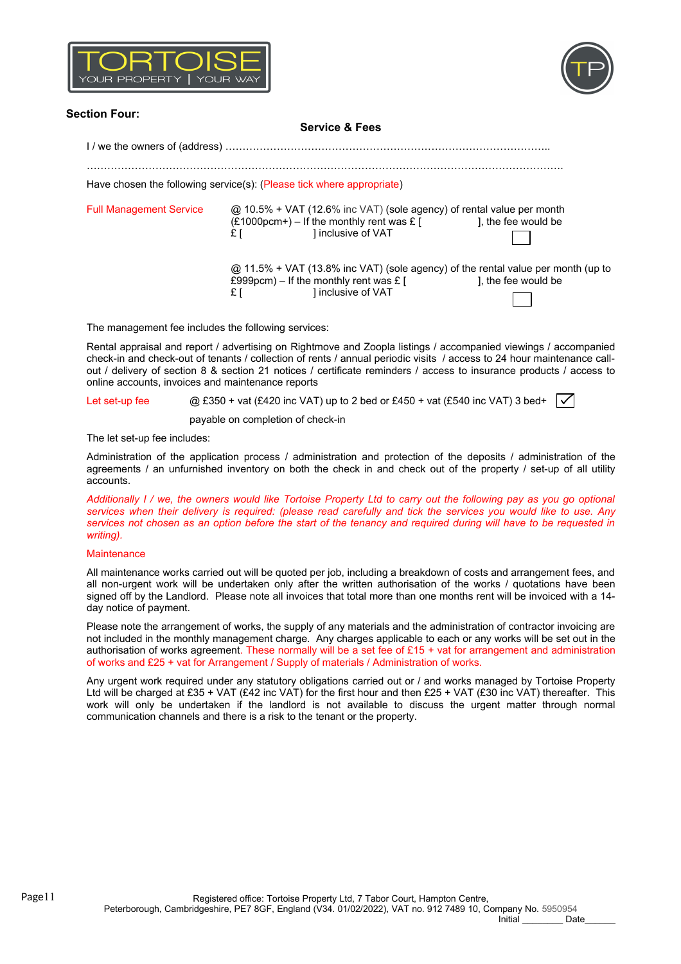



## **Section Four: Service & Fees** I / we the owners of (address) ………………………………………………………………………………….. …………………………………………………………………………………………………………………………. Have chosen the following service(s): (Please tick where appropriate) Full Management Service @ 10.5% + VAT (12.6% inc VAT) (sole agency) of rental value per month  $(E1000pcm+)$  – If the monthly rent was £ [ ], the fee would be £ [ ] inclusive of VAT  $@$  11.5% + VAT (13.8% inc VAT) (sole agency) of the rental value per month (up to £999pcm) – If the monthly rent was £ [  $\qquad \qquad$  ], the fee would be £999pcm) – If the monthly rent was £ [ £ [ ] inclusive of VAT

The management fee includes the following services:

Rental appraisal and report / advertising on Rightmove and Zoopla listings / accompanied viewings / accompanied check-in and check-out of tenants / collection of rents / annual periodic visits / access to 24 hour maintenance callout / delivery of section 8 & section 21 notices / certificate reminders / access to insurance products / access to online accounts, invoices and maintenance reports

Let set-up fee  $\oslash$  £350 + vat (£420 inc VAT) up to 2 bed or £450 + vat (£540 inc VAT) 3 bed+

payable on completion of check-in

The let set-up fee includes:

Administration of the application process / administration and protection of the deposits / administration of the agreements / an unfurnished inventory on both the check in and check out of the property / set-up of all utility accounts.

*Additionally I / we, the owners would like Tortoise Property Ltd to carry out the following pay as you go optional services when their delivery is required: (please read carefully and tick the services you would like to use. Any services not chosen as an option before the start of the tenancy and required during will have to be requested in writing).*

## **Maintenance**

All maintenance works carried out will be quoted per job, including a breakdown of costs and arrangement fees, and all non-urgent work will be undertaken only after the written authorisation of the works / quotations have been signed off by the Landlord. Please note all invoices that total more than one months rent will be invoiced with a 14 day notice of payment.

Please note the arrangement of works, the supply of any materials and the administration of contractor invoicing are not included in the monthly management charge. Any charges applicable to each or any works will be set out in the authorisation of works agreement. These normally will be a set fee of £15 + vat for arrangement and administration of works and £25 + vat for Arrangement / Supply of materials / Administration of works.

Any urgent work required under any statutory obligations carried out or / and works managed by Tortoise Property Ltd will be charged at £35 + VAT (£42 inc VAT) for the first hour and then £25 + VAT (£30 inc VAT) thereafter. This work will only be undertaken if the landlord is not available to discuss the urgent matter through normal communication channels and there is a risk to the tenant or the property.